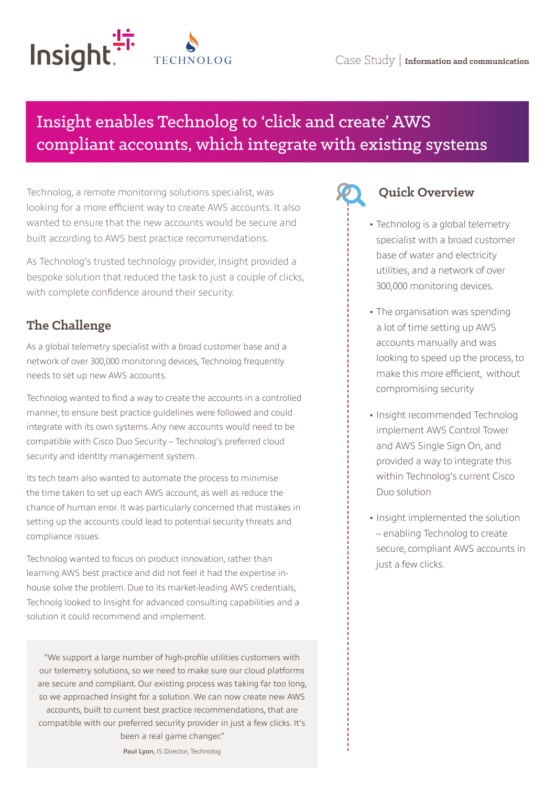

# Insight enables Technolog to 'click and create' AWS compliant accounts, which integrate with existing systems

Technolog, a remote monitoring solutions specialist, was looking for a more efficient way to create AWS accounts. It also wanted to ensure that the new accounts would be secure and built according to AWS best practice recommendations.

As Technolog's trusted technology provider, Insight provided a bespoke solution that reduced the task to just a couple of clicks, with complete confidence around their security.

# **The Challenge**

As a global telemetry specialist with a broad customer base and a network of over 300,000 monitoring devices, Technolog frequently needs to set up new AWS accounts.

Technolog wanted to find a way to create the accounts in a controlled manner, to ensure best practice guidelines were followed and could integrate with its own systems. Any new accounts would need to be compatible with Cisco Duo Security – Technolog's preferred cloud security and identity management system.

Its tech team also wanted to automate the process to minimise the time taken to set up each AWS account, as well as reduce the chance of human error. It was particularly concerned that mistakes in setting up the accounts could lead to potential security threats and compliance issues.

Technolog wanted to focus on product innovation, rather than learning AWS best practice and did not feel it had the expertise inhouse solve the problem. Due to its market-leading AWS credentials, Technolg looked to Insight for advanced consulting capabilities and a solution it could recommend and implement.

"We support a large number of high-profile utilities customers with our telemetry solutions, so we need to make sure our cloud platforms are secure and compliant. Our existing process was taking far too long, so we approached Insight for a solution. We can now create new AWS accounts, built to current best practice recommendations, that are compatible with our preferred security provider in just a few clicks. It's been a real game changer."

Paul Lyon, IS Director, Technolog

# **Quick Overview**

- **•** Technolog is a global telemetry specialist with a broad customer base of water and electricity utilities, and a network of over 300,000 monitoring devices.
- **•** The organisation was spending a lot of time setting up AWS accounts manually and was looking to speed up the process, to make this more efficient, without compromising security
- **•** Insight recommended Technolog implement AWS Control Tower and AWS Single Sign On, and provided a way to integrate this within Technolog's current Cisco Duo solution
- **•** Insight implemented the solution – enabling Technolog to create secure, compliant AWS accounts in just a few clicks.